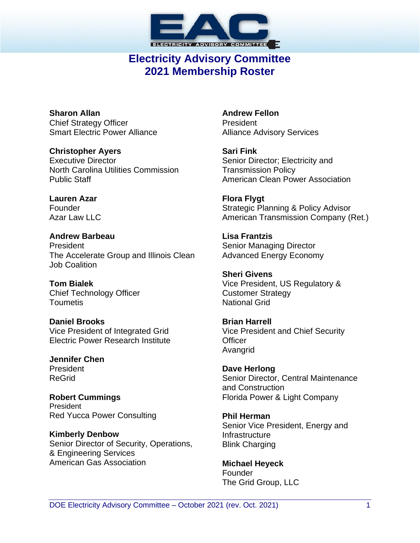

# **Electricity Advisory Committee 2021 Membership Roster**

**Sharon Allan** Chief Strategy Officer Smart Electric Power Alliance

**Christopher Ayers** Executive Director North Carolina Utilities Commission Public Staff

**Lauren Azar** Founder Azar Law LLC

**Andrew Barbeau** President The Accelerate Group and Illinois Clean Job Coalition

**Tom Bialek** Chief Technology Officer Toumetis

**Daniel Brooks** Vice President of Integrated Grid Electric Power Research Institute

**Jennifer Chen** President ReGrid

**Robert Cummings** President Red Yucca Power Consulting

**Kimberly Denbow** Senior Director of Security, Operations, & Engineering Services American Gas Association

**Andrew Fellon** President Alliance Advisory Services

**Sari Fink** Senior Director; Electricity and Transmission Policy American Clean Power Association

**Flora Flygt** Strategic Planning & Policy Advisor American Transmission Company (Ret.)

**Lisa Frantzis** Senior Managing Director Advanced Energy Economy

**Sheri Givens** Vice President, US Regulatory & Customer Strategy National Grid

**Brian Harrell** Vice President and Chief Security **Officer** Avangrid

**Dave Herlong** Senior Director, Central Maintenance and Construction Florida Power & Light Company

**Phil Herman** Senior Vice President, Energy and Infrastructure Blink Charging

**Michael Heyeck** Founder The Grid Group, LLC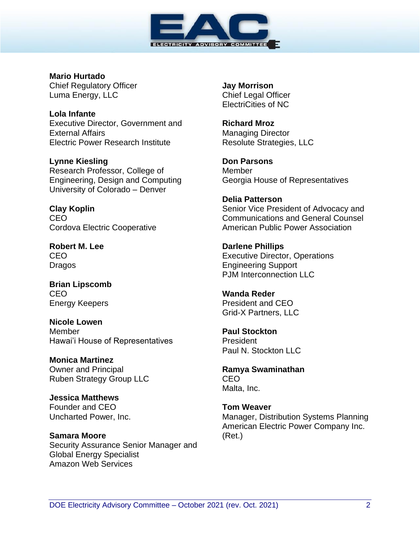

**Mario Hurtado** Chief Regulatory Officer Luma Energy, LLC

**Lola Infante** Executive Director, Government and External Affairs Electric Power Research Institute

**Lynne Kiesling** Research Professor, College of Engineering, Design and Computing University of Colorado – Denver

**Clay Koplin** CEO Cordova Electric Cooperative

**Robert M. Lee** CEO Dragos

**Brian Lipscomb** CEO Energy Keepers

**Nicole Lowen** Member Hawai'i House of Representatives

**Monica Martinez** Owner and Principal Ruben Strategy Group LLC

**Jessica Matthews** Founder and CEO Uncharted Power, Inc.

**Samara Moore** Security Assurance Senior Manager and Global Energy Specialist Amazon Web Services

**Jay Morrison** Chief Legal Officer ElectriCities of NC

**Richard Mroz** Managing Director Resolute Strategies, LLC

**Don Parsons** Member Georgia House of Representatives

**Delia Patterson** Senior Vice President of Advocacy and Communications and General Counsel American Public Power Association

**Darlene Phillips** Executive Director, Operations Engineering Support PJM Interconnection LLC

**Wanda Reder** President and CEO Grid-X Partners, LLC

**Paul Stockton** President Paul N. Stockton LLC

**Ramya Swaminathan** CEO Malta, Inc.

**Tom Weaver** Manager, Distribution Systems Planning American Electric Power Company Inc. (Ret.)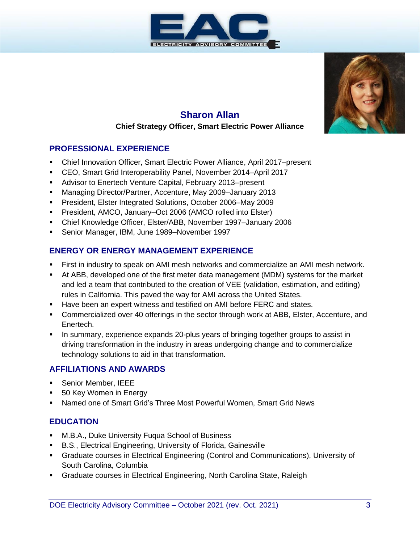



# **Sharon Allan Chief Strategy Officer, Smart Electric Power Alliance**

#### **PROFESSIONAL EXPERIENCE**

- Chief Innovation Officer, Smart Electric Power Alliance, April 2017–present
- CEO, Smart Grid Interoperability Panel, November 2014–April 2017
- Advisor to Enertech Venture Capital, February 2013–present
- Managing Director/Partner, Accenture, May 2009–January 2013
- President, Elster Integrated Solutions, October 2006–May 2009
- President, AMCO, January–Oct 2006 (AMCO rolled into Elster)
- Chief Knowledge Officer, Elster/ABB, November 1997–January 2006
- Senior Manager, IBM, June 1989–November 1997

#### **ENERGY OR ENERGY MANAGEMENT EXPERIENCE**

- **First in industry to speak on AMI mesh networks and commercialize an AMI mesh network.**
- At ABB, developed one of the first meter data management (MDM) systems for the market and led a team that contributed to the creation of VEE (validation, estimation, and editing) rules in California. This paved the way for AMI across the United States.
- **EXECT** Have been an expert witness and testified on AMI before FERC and states.
- Commercialized over 40 offerings in the sector through work at ABB, Elster, Accenture, and Enertech.
- **•** In summary, experience expands 20-plus years of bringing together groups to assist in driving transformation in the industry in areas undergoing change and to commercialize technology solutions to aid in that transformation.

#### **AFFILIATIONS AND AWARDS**

- **Senior Member, IEEE**
- 50 Key Women in Energy
- Named one of Smart Grid's Three Most Powerful Women, Smart Grid News

- M.B.A., Duke University Fuqua School of Business
- B.S., Electrical Engineering, University of Florida, Gainesville
- **Graduate courses in Electrical Engineering (Control and Communications), University of** South Carolina, Columbia
- **Graduate courses in Electrical Engineering, North Carolina State, Raleigh**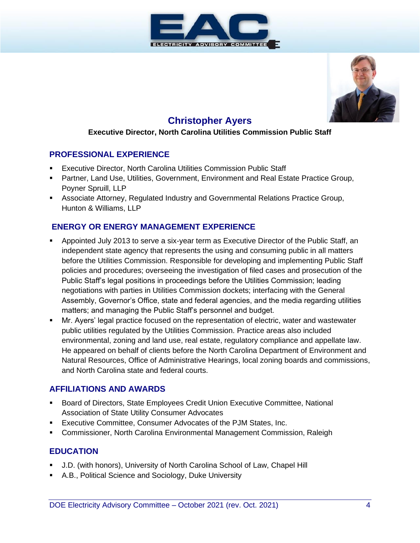



# **Christopher Ayers**

#### **Executive Director, North Carolina Utilities Commission Public Staff**

#### **PROFESSIONAL EXPERIENCE**

- Executive Director, North Carolina Utilities Commission Public Staff
- **Partner, Land Use, Utilities, Government, Environment and Real Estate Practice Group,** Poyner Spruill, LLP
- **EXEDENT Associate Attorney, Regulated Industry and Governmental Relations Practice Group,** Hunton & Williams, LLP

#### **ENERGY OR ENERGY MANAGEMENT EXPERIENCE**

- Appointed July 2013 to serve a six-year term as Executive Director of the Public Staff, an independent state agency that represents the using and consuming public in all matters before the Utilities Commission. Responsible for developing and implementing Public Staff policies and procedures; overseeing the investigation of filed cases and prosecution of the Public Staff's legal positions in proceedings before the Utilities Commission; leading negotiations with parties in Utilities Commission dockets; interfacing with the General Assembly, Governor's Office, state and federal agencies, and the media regarding utilities matters; and managing the Public Staff's personnel and budget.
- Mr. Ayers' legal practice focused on the representation of electric, water and wastewater public utilities regulated by the Utilities Commission. Practice areas also included environmental, zoning and land use, real estate, regulatory compliance and appellate law. He appeared on behalf of clients before the North Carolina Department of Environment and Natural Resources, Office of Administrative Hearings, local zoning boards and commissions, and North Carolina state and federal courts.

#### **AFFILIATIONS AND AWARDS**

- Board of Directors, State Employees Credit Union Executive Committee, National Association of State Utility Consumer Advocates
- **Executive Committee, Consumer Advocates of the PJM States, Inc.**
- Commissioner, North Carolina Environmental Management Commission, Raleigh

- J.D. (with honors), University of North Carolina School of Law, Chapel Hill
- A.B., Political Science and Sociology, Duke University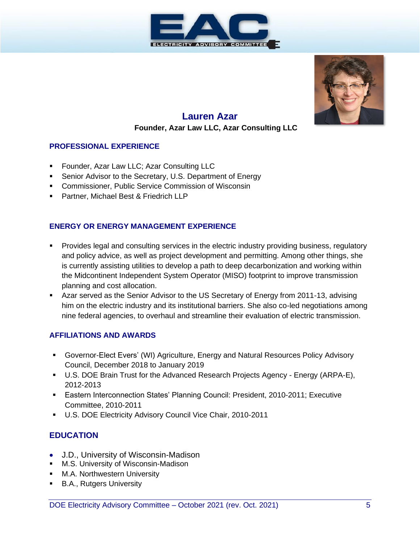



# **Lauren Azar Founder, Azar Law LLC, Azar Consulting LLC**

#### **PROFESSIONAL EXPERIENCE**

- **Founder, Azar Law LLC; Azar Consulting LLC**
- Senior Advisor to the Secretary, U.S. Department of Energy
- Commissioner, Public Service Commission of Wisconsin
- **Partner, Michael Best & Friedrich LLP**

#### **ENERGY OR ENERGY MANAGEMENT EXPERIENCE**

- **•** Provides legal and consulting services in the electric industry providing business, regulatory and policy advice, as well as project development and permitting. Among other things, she is currently assisting utilities to develop a path to deep decarbonization and working within the Midcontinent Independent System Operator (MISO) footprint to improve transmission planning and cost allocation.
- Azar served as the Senior Advisor to the US Secretary of Energy from 2011-13, advising him on the electric industry and its institutional barriers. She also co-led negotiations among nine federal agencies, to overhaul and streamline their evaluation of electric transmission.

#### **AFFILIATIONS AND AWARDS**

- Governor-Elect Evers' (WI) Agriculture, Energy and Natural Resources Policy Advisory Council, December 2018 to January 2019
- U.S. DOE Brain Trust for the Advanced Research Projects Agency Energy (ARPA-E), 2012-2013
- Eastern Interconnection States' Planning Council: President, 2010-2011; Executive Committee, 2010-2011
- U.S. DOE Electricity Advisory Council Vice Chair, 2010-2011

- J.D., University of Wisconsin-Madison
- M.S. University of Wisconsin-Madison
- **■** M.A. Northwestern University
- B.A., Rutgers University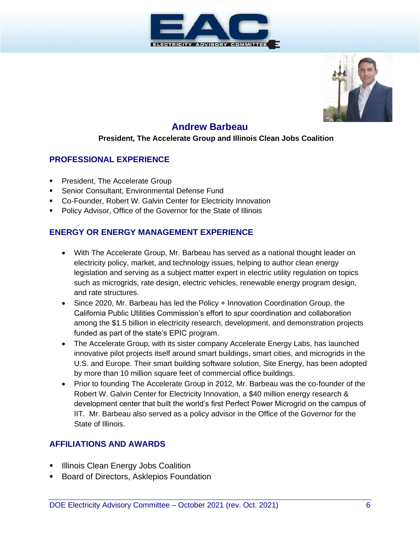



# **Andrew Barbeau**

#### **President, The Accelerate Group and Illinois Clean Jobs Coalition**

#### **PROFESSIONAL EXPERIENCE**

- **President, The Accelerate Group**
- Senior Consultant, Environmental Defense Fund
- Co-Founder, Robert W. Galvin Center for Electricity Innovation
- **Policy Advisor, Office of the Governor for the State of Illinois**

#### **ENERGY OR ENERGY MANAGEMENT EXPERIENCE**

- With The Accelerate Group, Mr. Barbeau has served as a national thought leader on electricity policy, market, and technology issues, helping to author clean energy legislation and serving as a subject matter expert in electric utility regulation on topics such as microgrids, rate design, electric vehicles, renewable energy program design, and rate structures.
- Since 2020, Mr. Barbeau has led the Policy + Innovation Coordination Group, the California Public Utilities Commission's effort to spur coordination and collaboration among the \$1.5 billion in electricity research, development, and demonstration projects funded as part of the state's EPIC program.
- The Accelerate Group, with its sister company Accelerate Energy Labs, has launched innovative pilot projects itself around smart buildings, smart cities, and microgrids in the U.S. and Europe. Their smart building software solution, Site Energy, has been adopted by more than 10 million square feet of commercial office buildings.
- Prior to founding The Accelerate Group in 2012, Mr. Barbeau was the co-founder of the Robert W. Galvin Center for Electricity Innovation, a \$40 million energy research & development center that built the world's first Perfect Power Microgrid on the campus of IIT. Mr. Barbeau also served as a policy advisor in the Office of the Governor for the State of Illinois.

#### **AFFILIATIONS AND AWARDS**

- **E** Illinois Clean Energy Jobs Coalition
- **Board of Directors, Asklepios Foundation**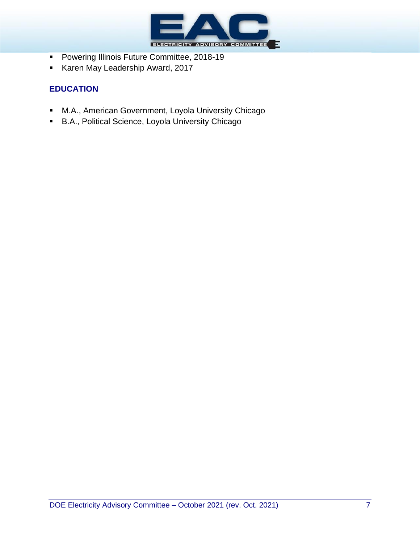

- Powering Illinois Future Committee, 2018-19
- Karen May Leadership Award, 2017

- M.A., American Government, Loyola University Chicago
- B.A., Political Science, Loyola University Chicago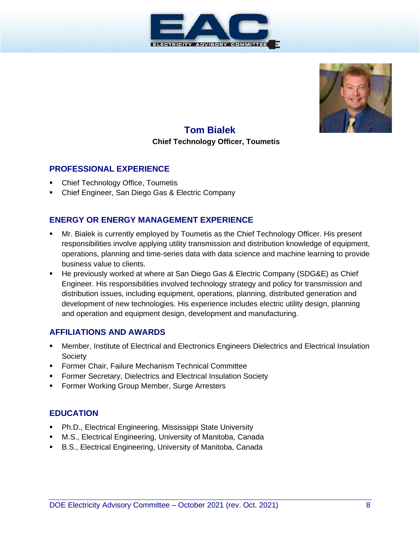



# **Tom Bialek Chief Technology Officer, Toumetis**

#### **PROFESSIONAL EXPERIENCE**

- **Chief Technology Office, Toumetis**
- Chief Engineer, San Diego Gas & Electric Company

#### **ENERGY OR ENERGY MANAGEMENT EXPERIENCE**

- Mr. Bialek is currently employed by Toumetis as the Chief Technology Officer. His present responsibilities involve applying utility transmission and distribution knowledge of equipment, operations, planning and time-series data with data science and machine learning to provide business value to clients.
- **E** He previously worked at where at San Diego Gas & Electric Company (SDG&E) as Chief Engineer. His responsibilities involved technology strategy and policy for transmission and distribution issues, including equipment, operations, planning, distributed generation and development of new technologies. His experience includes electric utility design, planning and operation and equipment design, development and manufacturing.

#### **AFFILIATIONS AND AWARDS**

- **Member, Institute of Electrical and Electronics Engineers Dielectrics and Electrical Insulation Society**
- **Former Chair, Failure Mechanism Technical Committee**
- Former Secretary, Dielectrics and Electrical Insulation Society
- **EXECT:** Former Working Group Member, Surge Arresters

- Ph.D., Electrical Engineering, Mississippi State University
- M.S., Electrical Engineering, University of Manitoba, Canada
- B.S., Electrical Engineering, University of Manitoba, Canada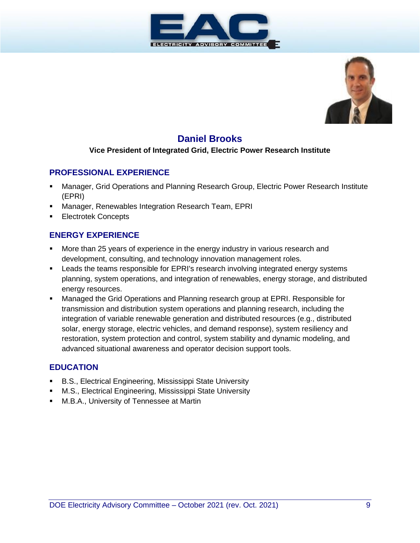



# **Daniel Brooks**

#### **Vice President of Integrated Grid, Electric Power Research Institute**

#### **PROFESSIONAL EXPERIENCE**

- Manager, Grid Operations and Planning Research Group, Electric Power Research Institute (EPRI)
- Manager, Renewables Integration Research Team, EPRI
- Electrotek Concepts

#### **ENERGY EXPERIENCE**

- More than 25 years of experience in the energy industry in various research and development, consulting, and technology innovation management roles.
- **EXECT** Leads the teams responsible for EPRI's research involving integrated energy systems planning, system operations, and integration of renewables, energy storage, and distributed energy resources.
- **■** Managed the Grid Operations and Planning research group at EPRI. Responsible for transmission and distribution system operations and planning research, including the integration of variable renewable generation and distributed resources (e.g., distributed solar, energy storage, electric vehicles, and demand response), system resiliency and restoration, system protection and control, system stability and dynamic modeling, and advanced situational awareness and operator decision support tools.

- B.S., Electrical Engineering, Mississippi State University
- M.S., Electrical Engineering, Mississippi State University
- M.B.A., University of Tennessee at Martin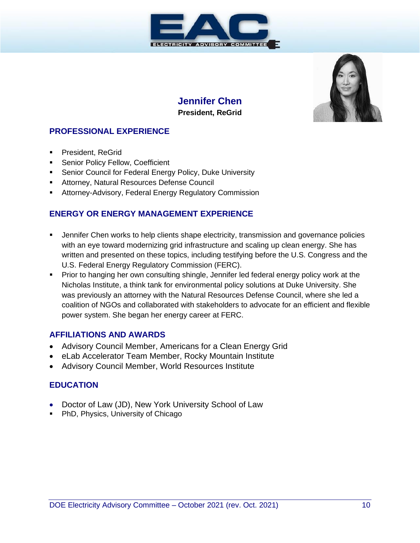



## **Jennifer Chen President, ReGrid**

#### **PROFESSIONAL EXPERIENCE**

- **•** President, ReGrid
- **EXECT:** Senior Policy Fellow, Coefficient
- Senior Council for Federal Energy Policy, Duke University
- **EXECOURGE:** Attorney, Natural Resources Defense Council
- Attorney-Advisory, Federal Energy Regulatory Commission

#### **ENERGY OR ENERGY MANAGEMENT EXPERIENCE**

- Jennifer Chen works to help clients shape electricity, transmission and governance policies with an eye toward modernizing grid infrastructure and scaling up clean energy. She has written and presented on these topics, including testifying before the U.S. Congress and the U.S. Federal Energy Regulatory Commission (FERC).
- **Prior to hanging her own consulting shingle, Jennifer led federal energy policy work at the** Nicholas Institute, a think tank for environmental policy solutions at Duke University. She was previously an attorney with the Natural Resources Defense Council, where she led a coalition of NGOs and collaborated with stakeholders to advocate for an efficient and flexible power system. She began her energy career at FERC.

#### **AFFILIATIONS AND AWARDS**

- Advisory Council Member, Americans for a Clean Energy Grid
- eLab Accelerator Team Member, Rocky Mountain Institute
- Advisory Council Member, World Resources Institute

- Doctor of Law (JD), New York University School of Law
- PhD, Physics, University of Chicago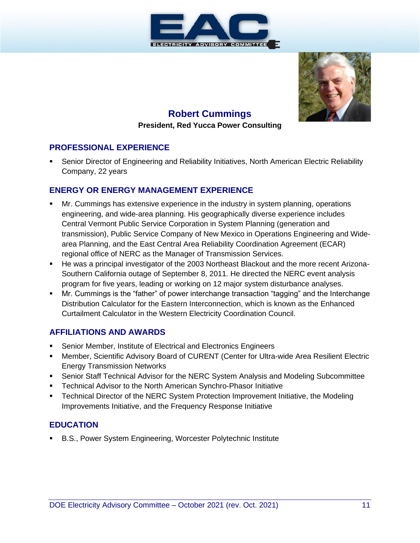



# **Robert Cummings**

#### **President, Red Yucca Power Consulting**

#### **PROFESSIONAL EXPERIENCE**

Senior Director of Engineering and Reliability Initiatives, North American Electric Reliability Company, 22 years

#### **ENERGY OR ENERGY MANAGEMENT EXPERIENCE**

- Mr. Cummings has extensive experience in the industry in system planning, operations engineering, and wide-area planning. His geographically diverse experience includes Central Vermont Public Service Corporation in System Planning (generation and transmission), Public Service Company of New Mexico in Operations Engineering and Widearea Planning, and the East Central Area Reliability Coordination Agreement (ECAR) regional office of NERC as the Manager of Transmission Services.
- He was a principal investigator of the 2003 Northeast Blackout and the more recent Arizona-Southern California outage of September 8, 2011. He directed the NERC event analysis program for five years, leading or working on 12 major system disturbance analyses.
- Mr. Cummings is the "father" of power interchange transaction "tagging" and the Interchange Distribution Calculator for the Eastern Interconnection, which is known as the Enhanced Curtailment Calculator in the Western Electricity Coordination Council.

#### **AFFILIATIONS AND AWARDS**

- **Senior Member, Institute of Electrical and Electronics Engineers**
- **Member, Scientific Advisory Board of CURENT (Center for Ultra-wide Area Resilient Electric** Energy Transmission Networks
- **Senior Staff Technical Advisor for the NERC System Analysis and Modeling Subcommittee**
- **Technical Advisor to the North American Synchro-Phasor Initiative**
- Technical Director of the NERC System Protection Improvement Initiative, the Modeling Improvements Initiative, and the Frequency Response Initiative

#### **EDUCATION**

■ B.S., Power System Engineering, Worcester Polytechnic Institute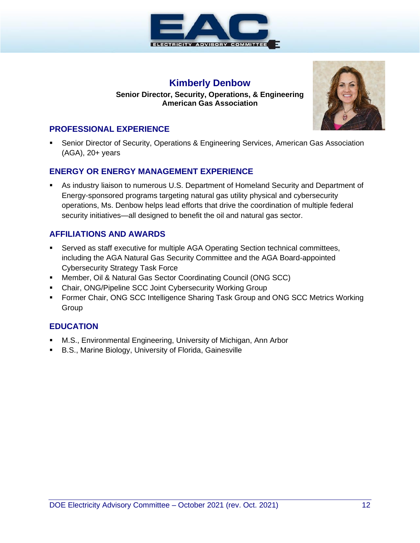

#### **Kimberly Denbow**

**Senior Director, Security, Operations, & Engineering American Gas Association**



#### **PROFESSIONAL EXPERIENCE**

Senior Director of Security, Operations & Engineering Services, American Gas Association (AGA), 20+ years

#### **ENERGY OR ENERGY MANAGEMENT EXPERIENCE**

**EXECT** As industry liaison to numerous U.S. Department of Homeland Security and Department of Energy-sponsored programs targeting natural gas utility physical and cybersecurity operations, Ms. Denbow helps lead efforts that drive the coordination of multiple federal security initiatives—all designed to benefit the oil and natural gas sector.

#### **AFFILIATIONS AND AWARDS**

- Served as staff executive for multiple AGA Operating Section technical committees, including the AGA Natural Gas Security Committee and the AGA Board-appointed Cybersecurity Strategy Task Force
- Member, Oil & Natural Gas Sector Coordinating Council (ONG SCC)
- Chair, ONG/Pipeline SCC Joint Cybersecurity Working Group
- **Former Chair, ONG SCC Intelligence Sharing Task Group and ONG SCC Metrics Working Group**

- **■** M.S., Environmental Engineering, University of Michigan, Ann Arbor
- B.S., Marine Biology, University of Florida, Gainesville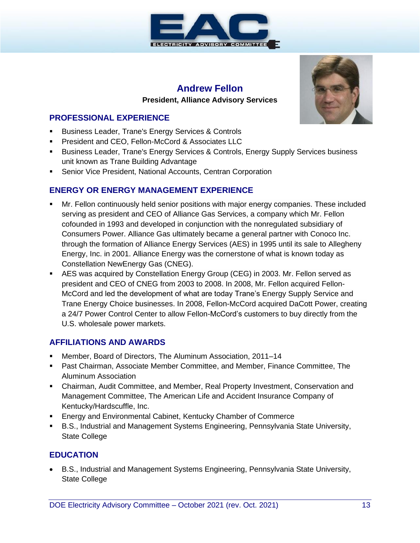

#### **Andrew Fellon President, Alliance Advisory Services**

#### **PROFESSIONAL EXPERIENCE**

- **EXECT:** Business Leader, Trane's Energy Services & Controls
- **President and CEO, Fellon-McCord & Associates LLC**
- Business Leader, Trane's Energy Services & Controls, Energy Supply Services business unit known as Trane Building Advantage
- **EXECTE:** Senior Vice President, National Accounts, Centran Corporation

#### **ENERGY OR ENERGY MANAGEMENT EXPERIENCE**

- Mr. Fellon continuously held senior positions with major energy companies. These included serving as president and CEO of Alliance Gas Services, a company which Mr. Fellon cofounded in 1993 and developed in conjunction with the nonregulated subsidiary of Consumers Power. Alliance Gas ultimately became a general partner with Conoco Inc. through the formation of Alliance Energy Services (AES) in 1995 until its sale to Allegheny Energy, Inc. in 2001. Alliance Energy was the cornerstone of what is known today as Constellation NewEnergy Gas (CNEG).
- AES was acquired by Constellation Energy Group (CEG) in 2003. Mr. Fellon served as president and CEO of CNEG from 2003 to 2008. In 2008, Mr. Fellon acquired Fellon-McCord and led the development of what are today Trane's Energy Supply Service and Trane Energy Choice businesses. In 2008, Fellon-McCord acquired DaCott Power, creating a 24/7 Power Control Center to allow Fellon-McCord's customers to buy directly from the U.S. wholesale power markets.

#### **AFFILIATIONS AND AWARDS**

- Member, Board of Directors, The Aluminum Association, 2011–14
- Past Chairman, Associate Member Committee, and Member, Finance Committee, The Aluminum Association
- Chairman, Audit Committee, and Member, Real Property Investment, Conservation and Management Committee, The American Life and Accident Insurance Company of Kentucky/Hardscuffle, Inc.
- Energy and Environmental Cabinet, Kentucky Chamber of Commerce
- B.S., Industrial and Management Systems Engineering, Pennsylvania State University, State College

#### **EDUCATION**

• B.S., Industrial and Management Systems Engineering, Pennsylvania State University, State College

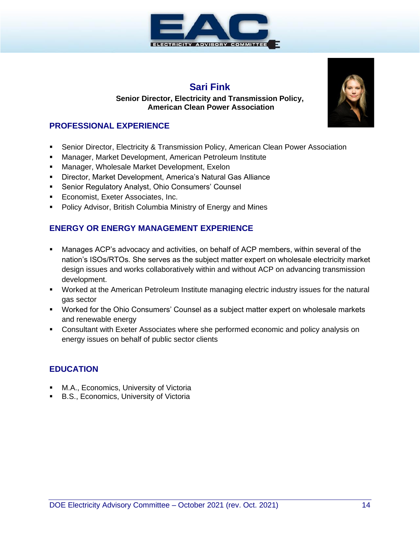

# **Sari Fink**

#### **Senior Director, Electricity and Transmission Policy, American Clean Power Association**

#### **PROFESSIONAL EXPERIENCE**

- **Senior Director, Electricity & Transmission Policy, American Clean Power Association**
- Manager, Market Development, American Petroleum Institute
- Manager, Wholesale Market Development, Exelon
- Director, Market Development, America's Natural Gas Alliance
- Senior Regulatory Analyst, Ohio Consumers' Counsel
- **Economist, Exeter Associates, Inc.**
- Policy Advisor, British Columbia Ministry of Energy and Mines

#### **ENERGY OR ENERGY MANAGEMENT EXPERIENCE**

- **■** Manages ACP's advocacy and activities, on behalf of ACP members, within several of the nation's ISOs/RTOs. She serves as the subject matter expert on wholesale electricity market design issues and works collaboratively within and without ACP on advancing transmission development.
- Worked at the American Petroleum Institute managing electric industry issues for the natural gas sector
- Worked for the Ohio Consumers' Counsel as a subject matter expert on wholesale markets and renewable energy
- **Consultant with Exeter Associates where she performed economic and policy analysis on** energy issues on behalf of public sector clients

- M.A., Economics, University of Victoria
- B.S., Economics, University of Victoria

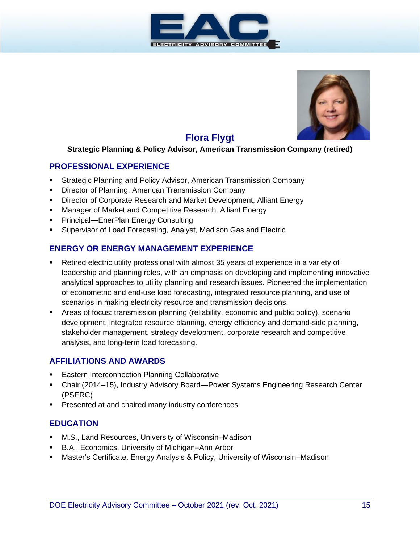



# **Flora Flygt**

#### **Strategic Planning & Policy Advisor, American Transmission Company (retired)**

#### **PROFESSIONAL EXPERIENCE**

- Strategic Planning and Policy Advisor, American Transmission Company
- Director of Planning, American Transmission Company
- **E** Director of Corporate Research and Market Development, Alliant Energy
- Manager of Market and Competitive Research, Alliant Energy
- **Principal—EnerPlan Energy Consulting**
- Supervisor of Load Forecasting, Analyst, Madison Gas and Electric

#### **ENERGY OR ENERGY MANAGEMENT EXPERIENCE**

- Retired electric utility professional with almost 35 years of experience in a variety of leadership and planning roles, with an emphasis on developing and implementing innovative analytical approaches to utility planning and research issues. Pioneered the implementation of econometric and end-use load forecasting, integrated resource planning, and use of scenarios in making electricity resource and transmission decisions.
- Areas of focus: transmission planning (reliability, economic and public policy), scenario development, integrated resource planning, energy efficiency and demand-side planning, stakeholder management, strategy development, corporate research and competitive analysis, and long-term load forecasting.

#### **AFFILIATIONS AND AWARDS**

- **Eastern Interconnection Planning Collaborative**
- Chair (2014–15), Industry Advisory Board—Power Systems Engineering Research Center (PSERC)
- Presented at and chaired many industry conferences

- M.S., Land Resources, University of Wisconsin–Madison
- B.A., Economics, University of Michigan–Ann Arbor
- Master's Certificate, Energy Analysis & Policy, University of Wisconsin–Madison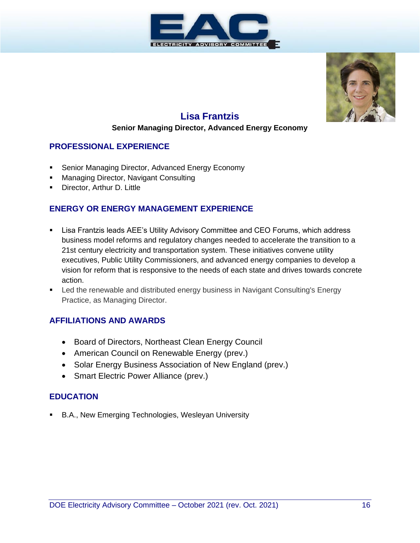



# **Lisa Frantzis**

#### **Senior Managing Director, Advanced Energy Economy**

#### **PROFESSIONAL EXPERIENCE**

- Senior Managing Director, Advanced Energy Economy
- Managing Director, Navigant Consulting
- Director, Arthur D. Little

#### **ENERGY OR ENERGY MANAGEMENT EXPERIENCE**

- **EXECT A.** Lisa Frantzis leads AEE's Utility Advisory Committee and CEO Forums, which address business model reforms and regulatory changes needed to accelerate the transition to a 21st century electricity and transportation system. These initiatives convene utility executives, Public Utility Commissioners, and advanced energy companies to develop a vision for reform that is responsive to the needs of each state and drives towards concrete action.
- Led the renewable and distributed energy business in Navigant Consulting's Energy Practice, as Managing Director.

#### **AFFILIATIONS AND AWARDS**

- Board of Directors, Northeast Clean Energy Council
- American Council on Renewable Energy (prev.)
- Solar Energy Business Association of New England (prev.)
- Smart Electric Power Alliance (prev.)

#### **EDUCATION**

■ B.A., New Emerging Technologies, Wesleyan University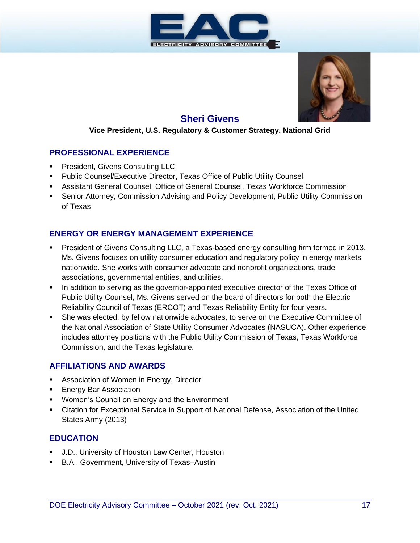



# **Sheri Givens**

#### **Vice President, U.S. Regulatory & Customer Strategy, National Grid**

#### **PROFESSIONAL EXPERIENCE**

- **President, Givens Consulting LLC**
- Public Counsel/Executive Director, Texas Office of Public Utility Counsel
- Assistant General Counsel, Office of General Counsel, Texas Workforce Commission
- **•** Senior Attorney, Commission Advising and Policy Development, Public Utility Commission of Texas

#### **ENERGY OR ENERGY MANAGEMENT EXPERIENCE**

- President of Givens Consulting LLC, a Texas-based energy consulting firm formed in 2013. Ms. Givens focuses on utility consumer education and regulatory policy in energy markets nationwide. She works with consumer advocate and nonprofit organizations, trade associations, governmental entities, and utilities.
- **•** In addition to serving as the governor-appointed executive director of the Texas Office of Public Utility Counsel, Ms. Givens served on the board of directors for both the Electric Reliability Council of Texas (ERCOT) and Texas Reliability Entity for four years.
- She was elected, by fellow nationwide advocates, to serve on the Executive Committee of the National Association of State Utility Consumer Advocates (NASUCA). Other experience includes attorney positions with the Public Utility Commission of Texas, Texas Workforce Commission, and the Texas legislature.

#### **AFFILIATIONS AND AWARDS**

- Association of Women in Energy, Director
- **Energy Bar Association**
- Women's Council on Energy and the Environment
- **EXECT AT A Citation for Exceptional Service in Support of National Defense, Association of the United** States Army (2013)

- J.D., University of Houston Law Center, Houston
- B.A., Government, University of Texas-Austin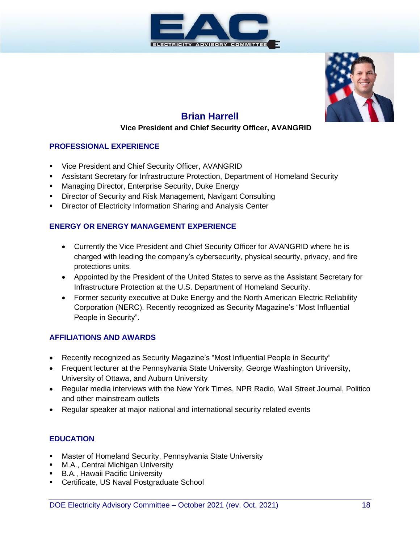



# **Brian Harrell**

#### **Vice President and Chief Security Officer, AVANGRID**

#### **PROFESSIONAL EXPERIENCE**

- Vice President and Chief Security Officer, AVANGRID
- **Assistant Secretary for Infrastructure Protection, Department of Homeland Security**
- **■** Managing Director, Enterprise Security, Duke Energy
- **Director of Security and Risk Management, Navigant Consulting**
- **EXEDENT** Director of Electricity Information Sharing and Analysis Center

#### **ENERGY OR ENERGY MANAGEMENT EXPERIENCE**

- Currently the Vice President and Chief Security Officer for AVANGRID where he is charged with leading the company's cybersecurity, physical security, privacy, and fire protections units.
- Appointed by the President of the United States to serve as the Assistant Secretary for Infrastructure Protection at the U.S. Department of Homeland Security.
- Former security executive at Duke Energy and the North American Electric Reliability Corporation (NERC). Recently recognized as Security Magazine's "Most Influential People in Security".

#### **AFFILIATIONS AND AWARDS**

- Recently recognized as Security Magazine's "Most Influential People in Security"
- Frequent lecturer at the Pennsylvania State University, George Washington University, University of Ottawa, and Auburn University
- Regular media interviews with the New York Times, NPR Radio, Wall Street Journal, Politico and other mainstream outlets
- Regular speaker at major national and international security related events

- Master of Homeland Security, Pennsylvania State University
- **■** M.A., Central Michigan University
- **B.A., Hawaii Pacific University**
- **EXEC** Certificate, US Naval Postgraduate School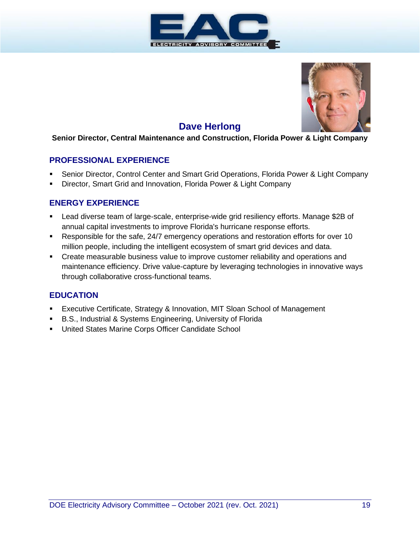



# **Dave Herlong**

#### **Senior Director, Central Maintenance and Construction, Florida Power & Light Company**

#### **PROFESSIONAL EXPERIENCE**

- Senior Director, Control Center and Smart Grid Operations, Florida Power & Light Company
- Director, Smart Grid and Innovation, Florida Power & Light Company

#### **ENERGY EXPERIENCE**

- Lead diverse team of large-scale, enterprise-wide grid resiliency efforts. Manage \$2B of annual capital investments to improve Florida's hurricane response efforts.
- Responsible for the safe, 24/7 emergency operations and restoration efforts for over 10 million people, including the intelligent ecosystem of smart grid devices and data.
- **•** Create measurable business value to improve customer reliability and operations and maintenance efficiency. Drive value-capture by leveraging technologies in innovative ways through collaborative cross-functional teams.

- Executive Certificate, Strategy & Innovation, MIT Sloan School of Management
- B.S., Industrial & Systems Engineering, University of Florida
- United States Marine Corps Officer Candidate School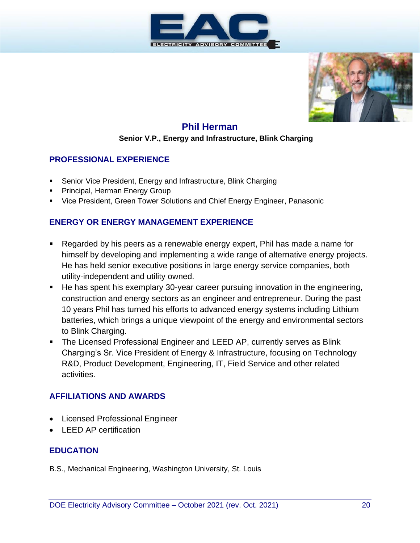



# **Phil Herman**

#### **Senior V.P., Energy and Infrastructure, Blink Charging**

#### **PROFESSIONAL EXPERIENCE**

- Senior Vice President, Energy and Infrastructure, Blink Charging
- Principal, Herman Energy Group
- Vice President, Green Tower Solutions and Chief Energy Engineer, Panasonic

#### **ENERGY OR ENERGY MANAGEMENT EXPERIENCE**

- Regarded by his peers as a renewable energy expert, Phil has made a name for himself by developing and implementing a wide range of alternative energy projects. He has held senior executive positions in large energy service companies, both utility-independent and utility owned.
- He has spent his exemplary 30-year career pursuing innovation in the engineering, construction and energy sectors as an engineer and entrepreneur. During the past 10 years Phil has turned his efforts to advanced energy systems including Lithium batteries, which brings a unique viewpoint of the energy and environmental sectors to Blink Charging.
- **The Licensed Professional Engineer and LEED AP, currently serves as Blink** Charging's Sr. Vice President of Energy & Infrastructure, focusing on Technology R&D, Product Development, Engineering, IT, Field Service and other related activities.

#### **AFFILIATIONS AND AWARDS**

- Licensed Professional Engineer
- LEED AP certification

#### **EDUCATION**

B.S., Mechanical Engineering, Washington University, St. Louis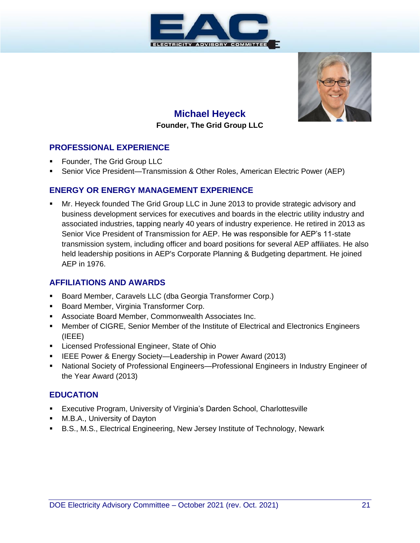



# **Michael Heyeck Founder, The Grid Group LLC**

#### **PROFESSIONAL EXPERIENCE**

- Founder, The Grid Group LLC
- Senior Vice President—Transmission & Other Roles, American Electric Power (AEP)

#### **ENERGY OR ENERGY MANAGEMENT EXPERIENCE**

Mr. Heyeck founded The Grid Group LLC in June 2013 to provide strategic advisory and business development services for executives and boards in the electric utility industry and associated industries, tapping nearly 40 years of industry experience. He retired in 2013 as Senior Vice President of Transmission for AEP. He was responsible for AEP's 11-state transmission system, including officer and board positions for several AEP affiliates. He also held leadership positions in AEP's Corporate Planning & Budgeting department. He joined AEP in 1976.

#### **AFFILIATIONS AND AWARDS**

- Board Member, Caravels LLC (dba Georgia Transformer Corp.)
- Board Member, Virginia Transformer Corp.
- **EXECT** Associate Board Member, Commonwealth Associates Inc.
- Member of CIGRE, Senior Member of the Institute of Electrical and Electronics Engineers (IEEE)
- Licensed Professional Engineer, State of Ohio
- **EXECUTE:** Power & Energy Society—Leadership in Power Award (2013)
- National Society of Professional Engineers—Professional Engineers in Industry Engineer of the Year Award (2013)

- **Executive Program, University of Virginia's Darden School, Charlottesville**
- **■** M.B.A., University of Dayton
- B.S., M.S., Electrical Engineering, New Jersey Institute of Technology, Newark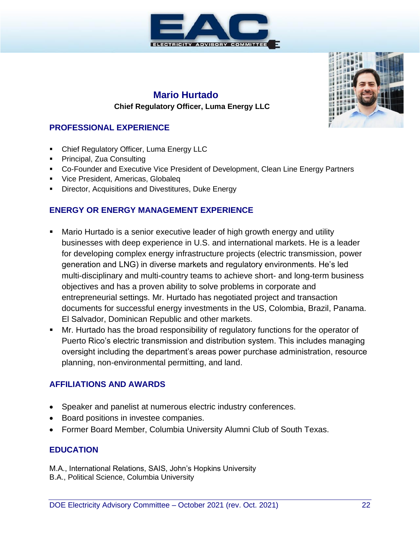

#### **Mario Hurtado Chief Regulatory Officer, Luma Energy LLC**

# **PROFESSIONAL EXPERIENCE**

- Chief Regulatory Officer, Luma Energy LLC
- **•** Principal, Zua Consulting
- Co-Founder and Executive Vice President of Development, Clean Line Energy Partners
- **Vice President, Americas, Globaleq**
- **E** Director, Acquisitions and Divestitures, Duke Energy

#### **ENERGY OR ENERGY MANAGEMENT EXPERIENCE**

- **E** Mario Hurtado is a senior executive leader of high growth energy and utility businesses with deep experience in U.S. and international markets. He is a leader for developing complex energy infrastructure projects (electric transmission, power generation and LNG) in diverse markets and regulatory environments. He's led multi-disciplinary and multi-country teams to achieve short- and long-term business objectives and has a proven ability to solve problems in corporate and entrepreneurial settings. Mr. Hurtado has negotiated project and transaction documents for successful energy investments in the US, Colombia, Brazil, Panama. El Salvador, Dominican Republic and other markets.
- Mr. Hurtado has the broad responsibility of regulatory functions for the operator of Puerto Rico's electric transmission and distribution system. This includes managing oversight including the department's areas power purchase administration, resource planning, non-environmental permitting, and land.

#### **AFFILIATIONS AND AWARDS**

- Speaker and panelist at numerous electric industry conferences.
- Board positions in investee companies.
- Former Board Member, Columbia University Alumni Club of South Texas.

#### **EDUCATION**

M.A., International Relations, SAIS, John's Hopkins University B.A., Political Science, Columbia University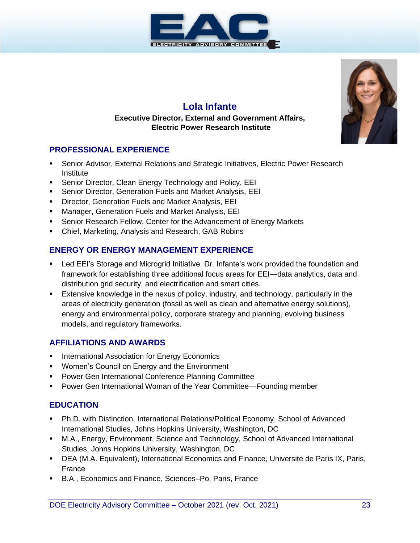



# **Lola Infante**

#### **Executive Director, External and Government Affairs, Electric Power Research Institute**

#### **PROFESSIONAL EXPERIENCE**

- Senior Advisor, External Relations and Strategic Initiatives, Electric Power Research Institute
- Senior Director, Clean Energy Technology and Policy, EEI
- Senior Director, Generation Fuels and Market Analysis, EEI
- Director, Generation Fuels and Market Analysis, EEI
- Manager, Generation Fuels and Market Analysis, EEI
- Senior Research Fellow, Center for the Advancement of Energy Markets
- Chief, Marketing, Analysis and Research, GAB Robins

#### **ENERGY OR ENERGY MANAGEMENT EXPERIENCE**

- Led EEI's Storage and Microgrid Initiative. Dr. Infante's work provided the foundation and framework for establishing three additional focus areas for EEI—data analytics, data and distribution grid security, and electrification and smart cities.
- **Extensive knowledge in the nexus of policy, industry, and technology, particularly in the** areas of electricity generation (fossil as well as clean and alternative energy solutions), energy and environmental policy, corporate strategy and planning, evolving business models, and regulatory frameworks.

#### **AFFILIATIONS AND AWARDS**

- **EXECTE:** International Association for Energy Economics
- Women's Council on Energy and the Environment
- **Power Gen International Conference Planning Committee**
- Power Gen International Woman of the Year Committee—Founding member

- **Ph.D. with Distinction, International Relations/Political Economy, School of Advanced** International Studies, Johns Hopkins University, Washington, DC
- **■** M.A., Energy, Environment, Science and Technology, School of Advanced International Studies, Johns Hopkins University, Washington, DC
- DEA (M.A. Equivalent), International Economics and Finance, Universite de Paris IX, Paris, France
- B.A., Economics and Finance, Sciences–Po, Paris, France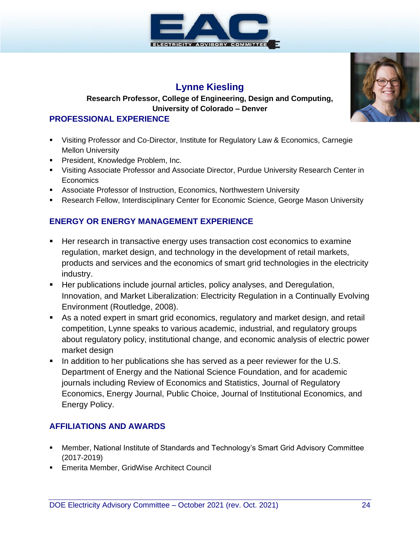

# **Lynne Kiesling**

#### **Research Professor, College of Engineering, Design and Computing, University of Colorado – Denver**

#### **PROFESSIONAL EXPERIENCE**

- Visiting Professor and Co-Director, Institute for Regulatory Law & Economics, Carnegie Mellon University
- **President, Knowledge Problem, Inc.**
- Visiting Associate Professor and Associate Director, Purdue University Research Center in Economics
- **EXECT** Associate Professor of Instruction, Economics, Northwestern University
- Research Fellow, Interdisciplinary Center for Economic Science, George Mason University

#### **ENERGY OR ENERGY MANAGEMENT EXPERIENCE**

- Her research in transactive energy uses transaction cost economics to examine regulation, market design, and technology in the development of retail markets, products and services and the economics of smart grid technologies in the electricity industry.
- **E** Her publications include journal articles, policy analyses, and Deregulation, Innovation, and Market Liberalization: Electricity Regulation in a Continually Evolving Environment (Routledge, 2008).
- As a noted expert in smart grid economics, regulatory and market design, and retail competition, Lynne speaks to various academic, industrial, and regulatory groups about regulatory policy, institutional change, and economic analysis of electric power market design
- In addition to her publications she has served as a peer reviewer for the U.S. Department of Energy and the National Science Foundation, and for academic journals including Review of Economics and Statistics, Journal of Regulatory Economics, Energy Journal, Public Choice, Journal of Institutional Economics, and Energy Policy.

#### **AFFILIATIONS AND AWARDS**

- **■** Member, National Institute of Standards and Technology's Smart Grid Advisory Committee (2017-2019)
- **Emerita Member, GridWise Architect Council**

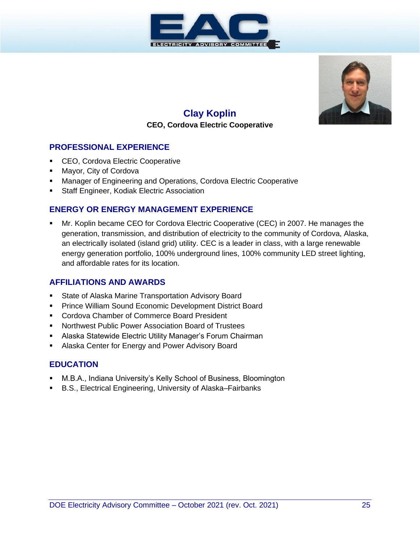



# **Clay Koplin**

# **CEO, Cordova Electric Cooperative**

#### **PROFESSIONAL EXPERIENCE**

- CEO, Cordova Electric Cooperative
- Mayor, City of Cordova
- **■** Manager of Engineering and Operations, Cordova Electric Cooperative
- Staff Engineer, Kodiak Electric Association

#### **ENERGY OR ENERGY MANAGEMENT EXPERIENCE**

Mr. Koplin became CEO for Cordova Electric Cooperative (CEC) in 2007. He manages the generation, transmission, and distribution of electricity to the community of Cordova, Alaska, an electrically isolated (island grid) utility. CEC is a leader in class, with a large renewable energy generation portfolio, 100% underground lines, 100% community LED street lighting, and affordable rates for its location.

#### **AFFILIATIONS AND AWARDS**

- State of Alaska Marine Transportation Advisory Board
- **Prince William Sound Economic Development District Board**
- Cordova Chamber of Commerce Board President
- Northwest Public Power Association Board of Trustees
- **E** Alaska Statewide Electric Utility Manager's Forum Chairman
- Alaska Center for Energy and Power Advisory Board

- M.B.A., Indiana University's Kelly School of Business, Bloomington
- B.S., Electrical Engineering, University of Alaska–Fairbanks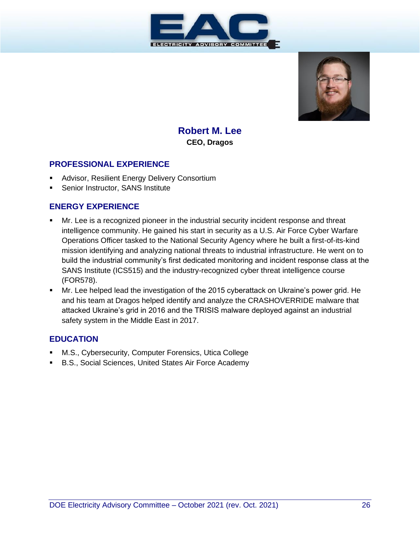



**Robert M. Lee CEO, Dragos**

#### **PROFESSIONAL EXPERIENCE**

- Advisor, Resilient Energy Delivery Consortium
- Senior Instructor, SANS Institute

#### **ENERGY EXPERIENCE**

- Mr. Lee is a recognized pioneer in the industrial security incident response and threat intelligence community. He gained his start in security as a U.S. Air Force Cyber Warfare Operations Officer tasked to the National Security Agency where he built a first-of-its-kind mission identifying and analyzing national threats to industrial infrastructure. He went on to build the industrial community's first dedicated monitoring and incident response class at the SANS Institute (ICS515) and the industry-recognized cyber threat intelligence course (FOR578).
- Mr. Lee helped lead the investigation of the 2015 cyberattack on Ukraine's power grid. He and his team at Dragos helped identify and analyze the CRASHOVERRIDE malware that attacked Ukraine's grid in 2016 and the TRISIS malware deployed against an industrial safety system in the Middle East in 2017.

- M.S., Cybersecurity, Computer Forensics, Utica College
- B.S., Social Sciences, United States Air Force Academy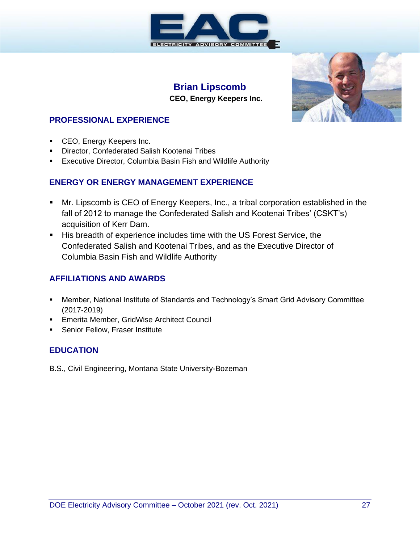

#### **Brian Lipscomb CEO, Energy Keepers Inc.**



#### **PROFESSIONAL EXPERIENCE**

- **CEO, Energy Keepers Inc.**
- Director, Confederated Salish Kootenai Tribes
- Executive Director, Columbia Basin Fish and Wildlife Authority

#### **ENERGY OR ENERGY MANAGEMENT EXPERIENCE**

- Mr. Lipscomb is CEO of Energy Keepers, Inc., a tribal corporation established in the fall of 2012 to manage the Confederated Salish and Kootenai Tribes' (CSKT's) acquisition of Kerr Dam.
- His breadth of experience includes time with the US Forest Service, the Confederated Salish and Kootenai Tribes, and as the Executive Director of Columbia Basin Fish and Wildlife Authority

#### **AFFILIATIONS AND AWARDS**

- Member, National Institute of Standards and Technology's Smart Grid Advisory Committee (2017-2019)
- **Emerita Member, GridWise Architect Council**
- **EXEC** Senior Fellow, Fraser Institute

## **EDUCATION**

B.S., Civil Engineering, Montana State University-Bozeman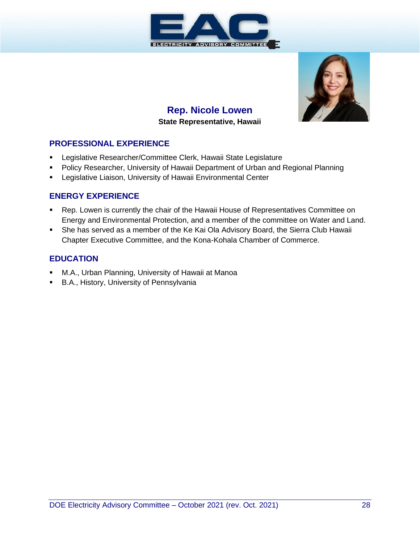



## **Rep. Nicole Lowen State Representative, Hawaii**

#### **PROFESSIONAL EXPERIENCE**

- Legislative Researcher/Committee Clerk, Hawaii State Legislature
- **Policy Researcher, University of Hawaii Department of Urban and Regional Planning**
- **EXEC** Legislative Liaison, University of Hawaii Environmental Center

#### **ENERGY EXPERIENCE**

- Rep. Lowen is currently the chair of the Hawaii House of Representatives Committee on Energy and Environmental Protection, and a member of the committee on Water and Land.
- She has served as a member of the Ke Kai Ola Advisory Board, the Sierra Club Hawaii Chapter Executive Committee, and the Kona-Kohala Chamber of Commerce.

- M.A., Urban Planning, University of Hawaii at Manoa
- B.A., History, University of Pennsylvania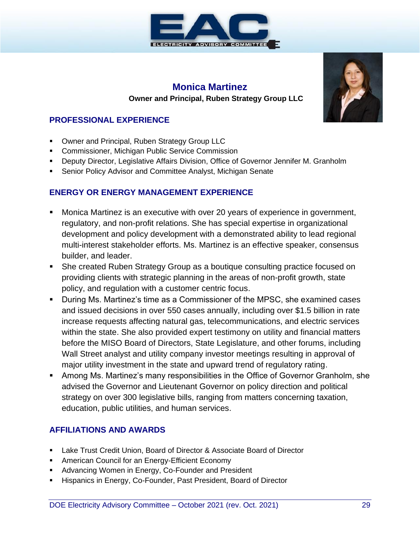

# **Monica Martinez Owner and Principal, Ruben Strategy Group LLC**

#### **PROFESSIONAL EXPERIENCE**

- Owner and Principal, Ruben Strategy Group LLC
- Commissioner, Michigan Public Service Commission
- Deputy Director, Legislative Affairs Division, Office of Governor Jennifer M. Granholm
- Senior Policy Advisor and Committee Analyst, Michigan Senate

#### **ENERGY OR ENERGY MANAGEMENT EXPERIENCE**

- Monica Martinez is an executive with over 20 years of experience in government, regulatory, and non-profit relations. She has special expertise in organizational development and policy development with a demonstrated ability to lead regional multi-interest stakeholder efforts. Ms. Martinez is an effective speaker, consensus builder, and leader.
- She created Ruben Strategy Group as a boutique consulting practice focused on providing clients with strategic planning in the areas of non-profit growth, state policy, and regulation with a customer centric focus.
- During Ms. Martinez's time as a Commissioner of the MPSC, she examined cases and issued decisions in over 550 cases annually, including over \$1.5 billion in rate increase requests affecting natural gas, telecommunications, and electric services within the state. She also provided expert testimony on utility and financial matters before the MISO Board of Directors, State Legislature, and other forums, including Wall Street analyst and utility company investor meetings resulting in approval of major utility investment in the state and upward trend of regulatory rating.
- Among Ms. Martinez's many responsibilities in the Office of Governor Granholm, she advised the Governor and Lieutenant Governor on policy direction and political strategy on over 300 legislative bills, ranging from matters concerning taxation, education, public utilities, and human services.

#### **AFFILIATIONS AND AWARDS**

- Lake Trust Credit Union, Board of Director & Associate Board of Director
- **EXECT:** American Council for an Energy-Efficient Economy
- Advancing Women in Energy, Co-Founder and President
- Hispanics in Energy, Co-Founder, Past President, Board of Director

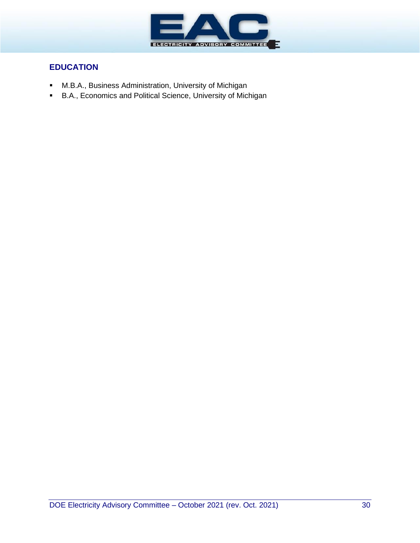

- M.B.A., Business Administration, University of Michigan
- B.A., Economics and Political Science, University of Michigan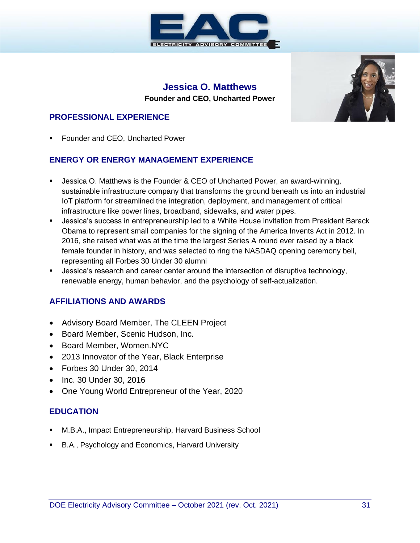

# **Jessica O. Matthews Founder and CEO, Uncharted Power**



#### **PROFESSIONAL EXPERIENCE**

Founder and CEO, Uncharted Power

#### **ENERGY OR ENERGY MANAGEMENT EXPERIENCE**

- Jessica O. Matthews is the Founder & CEO of Uncharted Power, an award-winning, sustainable infrastructure company that transforms the ground beneath us into an industrial IoT platform for streamlined the integration, deployment, and management of critical infrastructure like power lines, broadband, sidewalks, and water pipes.
- **■** Jessica's success in entrepreneurship led to a White House invitation from President Barack Obama to represent small companies for the signing of the America Invents Act in 2012. In 2016, she raised what was at the time the largest Series A round ever raised by a black female founder in history, and was selected to ring the NASDAQ opening ceremony bell, representing all Forbes 30 Under 30 alumni
- **E** Jessica's research and career center around the intersection of disruptive technology, renewable energy, human behavior, and the psychology of self-actualization.

#### **AFFILIATIONS AND AWARDS**

- Advisory Board Member, The CLEEN Project
- Board Member, Scenic Hudson, Inc.
- Board Member, Women.NYC
- 2013 Innovator of the Year, Black Enterprise
- Forbes 30 Under 30, 2014
- Inc. 30 Under 30, 2016
- One Young World Entrepreneur of the Year, 2020

- M.B.A., Impact Entrepreneurship, Harvard Business School
- B.A., Psychology and Economics, Harvard University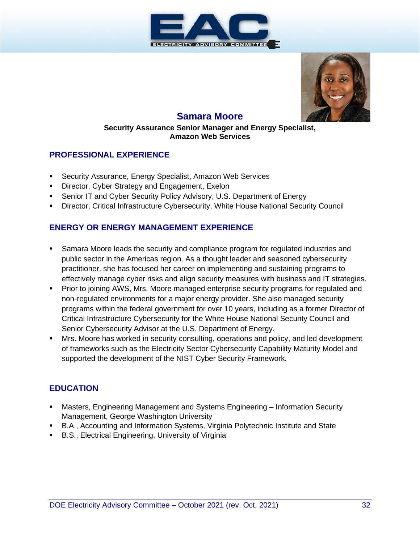



# **Samara Moore**

#### **Security Assurance Senior Manager and Energy Specialist, Amazon Web Services**

#### **PROFESSIONAL EXPERIENCE**

- Security Assurance, Energy Specialist, Amazon Web Services
- **EXED** Director, Cyber Strategy and Engagement, Exelon
- Senior IT and Cyber Security Policy Advisory, U.S. Department of Energy
- **Director, Critical Infrastructure Cybersecurity, White House National Security Council**

#### **ENERGY OR ENERGY MANAGEMENT EXPERIENCE**

- Samara Moore leads the security and compliance program for regulated industries and public sector in the Americas region. As a thought leader and seasoned cybersecurity practitioner, she has focused her career on implementing and sustaining programs to effectively manage cyber risks and align security measures with business and IT strategies.
- **Prior to joining AWS, Mrs. Moore managed enterprise security programs for regulated and** non-regulated environments for a major energy provider. She also managed security programs within the federal government for over 10 years, including as a former Director of Critical Infrastructure Cybersecurity for the White House National Security Council and Senior Cybersecurity Advisor at the U.S. Department of Energy.
- Mrs. Moore has worked in security consulting, operations and policy, and led development of frameworks such as the Electricity Sector Cybersecurity Capability Maturity Model and supported the development of the NIST Cyber Security Framework.

- Masters, Engineering Management and Systems Engineering Information Security Management, George Washington University
- B.A., Accounting and Information Systems, Virginia Polytechnic Institute and State
- B.S., Electrical Engineering, University of Virginia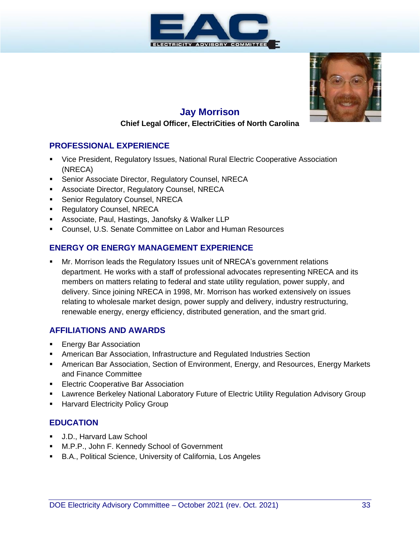



#### **Jay Morrison**

#### **Chief Legal Officer, ElectriCities of North Carolina**

#### **PROFESSIONAL EXPERIENCE**

- Vice President, Regulatory Issues, National Rural Electric Cooperative Association (NRECA)
- **E** Senior Associate Director, Regulatory Counsel, NRECA
- **EXECTS Associate Director, Regulatory Counsel, NRECA**
- **E** Senior Regulatory Counsel, NRECA
- Regulatory Counsel, NRECA
- **E** Associate, Paul, Hastings, Janofsky & Walker LLP
- Counsel, U.S. Senate Committee on Labor and Human Resources

#### **ENERGY OR ENERGY MANAGEMENT EXPERIENCE**

Mr. Morrison leads the Regulatory Issues unit of NRECA's government relations department. He works with a staff of professional advocates representing NRECA and its members on matters relating to federal and state utility regulation, power supply, and delivery. Since joining NRECA in 1998, Mr. Morrison has worked extensively on issues relating to wholesale market design, power supply and delivery, industry restructuring, renewable energy, energy efficiency, distributed generation, and the smart grid.

#### **AFFILIATIONS AND AWARDS**

- **Energy Bar Association**
- **EXEDENT American Bar Association, Infrastructure and Regulated Industries Section**
- **American Bar Association, Section of Environment, Energy, and Resources, Energy Markets** and Finance Committee
- **Electric Cooperative Bar Association**
- **Lawrence Berkeley National Laboratory Future of Electric Utility Regulation Advisory Group**
- **E** Harvard Electricity Policy Group

- J.D., Harvard Law School
- M.P.P., John F. Kennedy School of Government
- B.A., Political Science, University of California, Los Angeles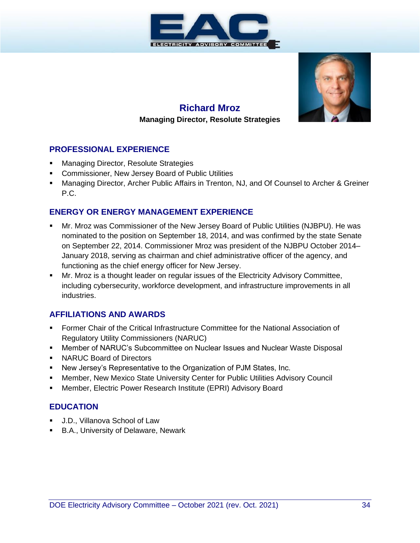



# **Richard Mroz**

#### **Managing Director, Resolute Strategies**

#### **PROFESSIONAL EXPERIENCE**

- **Managing Director, Resolute Strategies**
- **Commissioner, New Jersey Board of Public Utilities**
- Managing Director, Archer Public Affairs in Trenton, NJ, and Of Counsel to Archer & Greiner P.C.

#### **ENERGY OR ENERGY MANAGEMENT EXPERIENCE**

- Mr. Mroz was Commissioner of the New Jersey Board of Public Utilities (NJBPU). He was nominated to the position on September 18, 2014, and was confirmed by the state Senate on September 22, 2014. Commissioner Mroz was president of the NJBPU October 2014– January 2018, serving as chairman and chief administrative officer of the agency, and functioning as the chief energy officer for New Jersey.
- Mr. Mroz is a thought leader on regular issues of the Electricity Advisory Committee, including cybersecurity, workforce development, and infrastructure improvements in all industries.

#### **AFFILIATIONS AND AWARDS**

- **Former Chair of the Critical Infrastructure Committee for the National Association of** Regulatory Utility Commissioners (NARUC)
- Member of NARUC's Subcommittee on Nuclear Issues and Nuclear Waste Disposal
- NARUC Board of Directors
- New Jersey's Representative to the Organization of PJM States, Inc.
- **■** Member, New Mexico State University Center for Public Utilities Advisory Council
- **■** Member, Electric Power Research Institute (EPRI) Advisory Board

- J.D., Villanova School of Law
- **B.A., University of Delaware, Newark**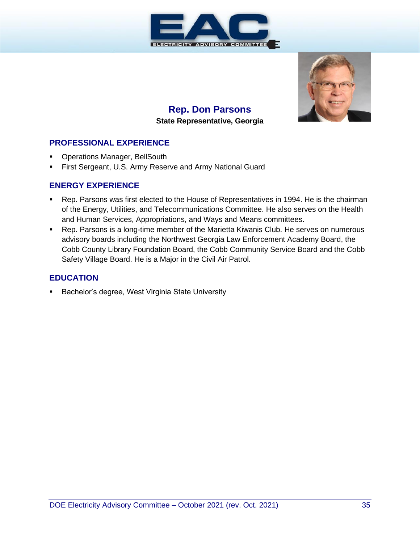

# **Rep. Don Parsons State Representative, Georgia**



#### **PROFESSIONAL EXPERIENCE**

- **Operations Manager, BellSouth**
- **First Sergeant, U.S. Army Reserve and Army National Guard**

#### **ENERGY EXPERIENCE**

- Rep. Parsons was first elected to the House of Representatives in 1994. He is the chairman of the Energy, Utilities, and Telecommunications Committee. He also serves on the Health and Human Services, Appropriations, and Ways and Means committees.
- Rep. Parsons is a long-time member of the Marietta Kiwanis Club. He serves on numerous advisory boards including the Northwest Georgia Law Enforcement Academy Board, the Cobb County Library Foundation Board, the Cobb Community Service Board and the Cobb Safety Village Board. He is a Major in the Civil Air Patrol.

#### **EDUCATION**

Bachelor's degree, West Virginia State University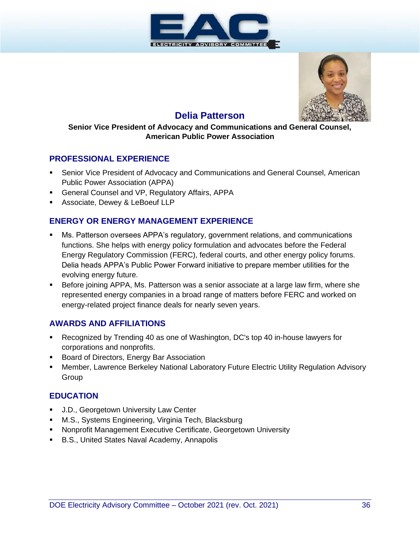



# **Delia Patterson**

#### **Senior Vice President of Advocacy and Communications and General Counsel, American Public Power Association**

#### **PROFESSIONAL EXPERIENCE**

- **EXECTE: Senior Vice President of Advocacy and Communications and General Counsel, American** Public Power Association (APPA)
- **E** General Counsel and VP, Regulatory Affairs, APPA
- **EXEC** Associate, Dewey & LeBoeuf LLP

#### **ENERGY OR ENERGY MANAGEMENT EXPERIENCE**

- Ms. Patterson oversees APPA's regulatory, government relations, and communications functions. She helps with energy policy formulation and advocates before the Federal Energy Regulatory Commission (FERC), federal courts, and other energy policy forums. Delia heads APPA's Public Power Forward initiative to prepare member utilities for the evolving energy future.
- Before joining APPA, Ms. Patterson was a senior associate at a large law firm, where she represented energy companies in a broad range of matters before FERC and worked on energy-related project finance deals for nearly seven years.

#### **AWARDS AND AFFILIATIONS**

- Recognized by Trending 40 as one of Washington, DC's top 40 in-house lawyers for corporations and nonprofits.
- Board of Directors, Energy Bar Association
- **Member, Lawrence Berkeley National Laboratory Future Electric Utility Regulation Advisory Group**

- J.D., Georgetown University Law Center
- M.S., Systems Engineering, Virginia Tech, Blacksburg
- **E** Nonprofit Management Executive Certificate, Georgetown University
- B.S., United States Naval Academy, Annapolis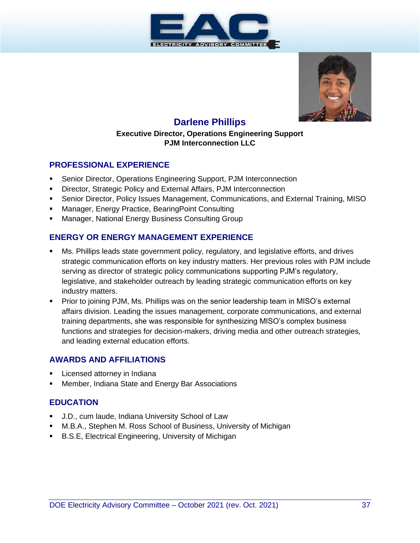



# **Darlene Phillips**

#### **Executive Director, Operations Engineering Support PJM Interconnection LLC**

#### **PROFESSIONAL EXPERIENCE**

- Senior Director, Operations Engineering Support, PJM Interconnection
- **E** Director, Strategic Policy and External Affairs, PJM Interconnection
- **•** Senior Director, Policy Issues Management, Communications, and External Training, MISO
- **Manager, Energy Practice, BearingPoint Consulting**
- Manager, National Energy Business Consulting Group

#### **ENERGY OR ENERGY MANAGEMENT EXPERIENCE**

- Ms. Phillips leads state government policy, regulatory, and legislative efforts, and drives strategic communication efforts on key industry matters. Her previous roles with PJM include serving as director of strategic policy communications supporting PJM's regulatory, legislative, and stakeholder outreach by leading strategic communication efforts on key industry matters.
- Prior to joining PJM, Ms. Phillips was on the senior leadership team in MISO's external affairs division. Leading the issues management, corporate communications, and external training departments, she was responsible for synthesizing MISO's complex business functions and strategies for decision-makers, driving media and other outreach strategies, and leading external education efforts.

#### **AWARDS AND AFFILIATIONS**

- Licensed attorney in Indiana
- Member, Indiana State and Energy Bar Associations

- J.D., cum laude, Indiana University School of Law
- M.B.A., Stephen M. Ross School of Business, University of Michigan
- B.S.E, Electrical Engineering, University of Michigan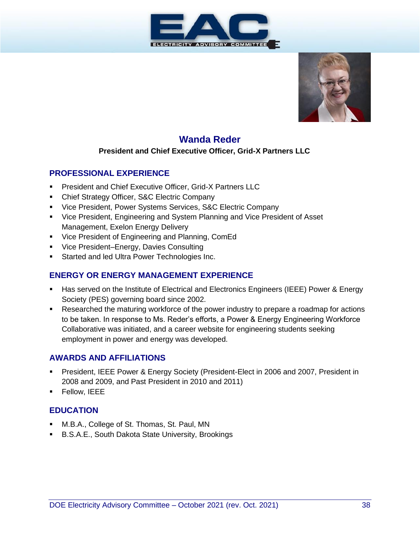



# **Wanda Reder**

#### **President and Chief Executive Officer, Grid-X Partners LLC**

#### **PROFESSIONAL EXPERIENCE**

- **President and Chief Executive Officer, Grid-X Partners LLC**
- **Chief Strategy Officer, S&C Electric Company**
- Vice President, Power Systems Services, S&C Electric Company
- Vice President, Engineering and System Planning and Vice President of Asset Management, Exelon Energy Delivery
- Vice President of Engineering and Planning, ComEd
- Vice President–Energy, Davies Consulting
- **EXECUTE:** Started and led Ultra Power Technologies Inc.

#### **ENERGY OR ENERGY MANAGEMENT EXPERIENCE**

- Has served on the Institute of Electrical and Electronics Engineers (IEEE) Power & Energy Society (PES) governing board since 2002.
- Researched the maturing workforce of the power industry to prepare a roadmap for actions to be taken. In response to Ms. Reder's efforts, a Power & Energy Engineering Workforce Collaborative was initiated, and a career website for engineering students seeking employment in power and energy was developed.

#### **AWARDS AND AFFILIATIONS**

- **President, IEEE Power & Energy Society (President-Elect in 2006 and 2007, President in** 2008 and 2009, and Past President in 2010 and 2011)
- Fellow, IEEE

- M.B.A., College of St. Thomas, St. Paul, MN
- B.S.A.E., South Dakota State University, Brookings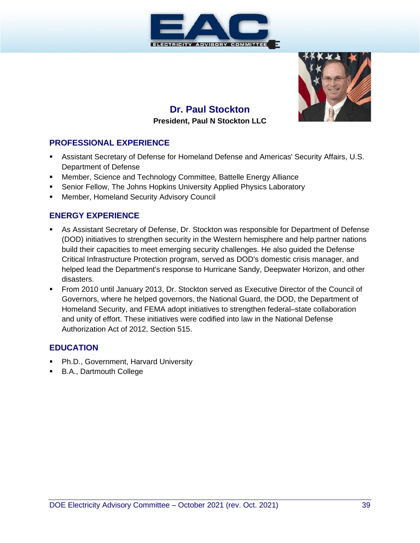



# **Dr. Paul Stockton President, Paul N Stockton LLC**

#### **PROFESSIONAL EXPERIENCE**

- **EXECTS Assistant Secretary of Defense for Homeland Defense and Americas' Security Affairs, U.S.** Department of Defense
- **■** Member, Science and Technology Committee, Battelle Energy Alliance
- Senior Fellow, The Johns Hopkins University Applied Physics Laboratory
- **■** Member, Homeland Security Advisory Council

#### **ENERGY EXPERIENCE**

- As Assistant Secretary of Defense, Dr. Stockton was responsible for Department of Defense (DOD) initiatives to strengthen security in the Western hemisphere and help partner nations build their capacities to meet emerging security challenges. He also guided the Defense Critical Infrastructure Protection program, served as DOD's domestic crisis manager, and helped lead the Department's response to Hurricane Sandy, Deepwater Horizon, and other disasters.
- From 2010 until January 2013, Dr. Stockton served as Executive Director of the Council of Governors, where he helped governors, the National Guard, the DOD, the Department of Homeland Security, and FEMA adopt initiatives to strengthen federal–state collaboration and unity of effort. These initiatives were codified into law in the National Defense Authorization Act of 2012, Section 515.

- Ph.D., Government, Harvard University
- B.A., Dartmouth College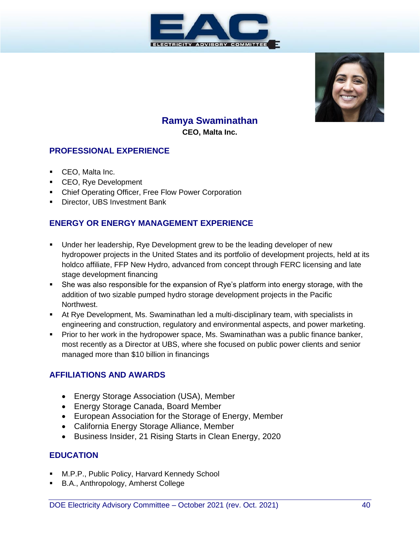



# **Ramya Swaminathan**

**CEO, Malta Inc.**

#### **PROFESSIONAL EXPERIENCE**

- CEO, Malta Inc.
- CEO, Rye Development
- **Chief Operating Officer, Free Flow Power Corporation**
- **·** Director, UBS Investment Bank

## **ENERGY OR ENERGY MANAGEMENT EXPERIENCE**

- Under her leadership, Rye Development grew to be the leading developer of new hydropower projects in the United States and its portfolio of development projects, held at its holdco affiliate, FFP New Hydro, advanced from concept through FERC licensing and late stage development financing
- She was also responsible for the expansion of Rye's platform into energy storage, with the addition of two sizable pumped hydro storage development projects in the Pacific Northwest.
- **■** At Rye Development, Ms. Swaminathan led a multi-disciplinary team, with specialists in engineering and construction, regulatory and environmental aspects, and power marketing.
- **Prior to her work in the hydropower space, Ms. Swaminathan was a public finance banker,** most recently as a Director at UBS, where she focused on public power clients and senior managed more than \$10 billion in financings

#### **AFFILIATIONS AND AWARDS**

- Energy Storage Association (USA), Member
- Energy Storage Canada, Board Member
- European Association for the Storage of Energy, Member
- California Energy Storage Alliance, Member
- Business Insider, 21 Rising Starts in Clean Energy, 2020

- M.P.P., Public Policy, Harvard Kennedy School
- B.A., Anthropology, Amherst College